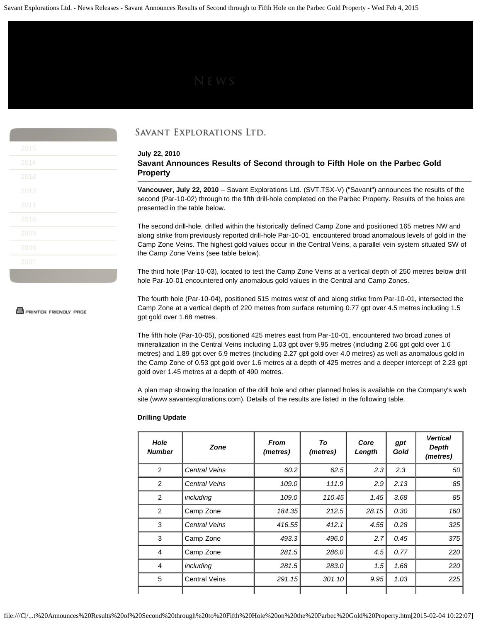| 2015 |  |
|------|--|
| 2014 |  |
| 2013 |  |
| 2012 |  |
| 2011 |  |
| 2010 |  |
| 2009 |  |
| 2008 |  |
| 2007 |  |

**S** PRINTER FRIENDLY PAGE

## SAVANT EXPLORATIONS LTD.

**July 22, 2010 Savant Announces Results of Second through to Fifth Hole on the Parbec Gold Property**

**Vancouver, July 22, 2010** -- Savant Explorations Ltd. (SVT.TSX-V) ("Savant") announces the results of the second (Par-10-02) through to the fifth drill-hole completed on the Parbec Property. Results of the holes are presented in the table below.

The second drill-hole, drilled within the historically defined Camp Zone and positioned 165 metres NW and along strike from previously reported drill-hole Par-10-01, encountered broad anomalous levels of gold in the Camp Zone Veins. The highest gold values occur in the Central Veins, a parallel vein system situated SW of the Camp Zone Veins (see table below).

The third hole (Par-10-03), located to test the Camp Zone Veins at a vertical depth of 250 metres below drill hole Par-10-01 encountered only anomalous gold values in the Central and Camp Zones.

The fourth hole (Par-10-04), positioned 515 metres west of and along strike from Par-10-01, intersected the Camp Zone at a vertical depth of 220 metres from surface returning 0.77 gpt over 4.5 metres including 1.5 gpt gold over 1.68 metres.

The fifth hole (Par-10-05), positioned 425 metres east from Par-10-01, encountered two broad zones of mineralization in the Central Veins including 1.03 gpt over 9.95 metres (including 2.66 gpt gold over 1.6 metres) and 1.89 gpt over 6.9 metres (including 2.27 gpt gold over 4.0 metres) as well as anomalous gold in the Camp Zone of 0.53 gpt gold over 1.6 metres at a depth of 425 metres and a deeper intercept of 2.23 gpt gold over 1.45 metres at a depth of 490 metres.

A plan map showing the location of the drill hole and other planned holes is available on the Company's web site (www.savantexplorations.com). Details of the results are listed in the following table.

## **Drilling Update**

| Hole<br><b>Number</b> | Zone                 | <b>From</b><br>(metres) | To<br>(metres) | Core<br>Length | gpt<br>Gold | <b>Vertical</b><br>Depth<br>(metres) |
|-----------------------|----------------------|-------------------------|----------------|----------------|-------------|--------------------------------------|
| 2                     | <b>Central Veins</b> | 60.2                    | 62.5           | 2.3            | 2.3         | 50                                   |
| 2                     | <b>Central Veins</b> | 109.0                   | 111.9          | 2.9            | 2.13        | 85                                   |
| 2                     | including            | 109.0                   | 110.45         | 1.45           | 3.68        | 85                                   |
| 2                     | Camp Zone            | 184.35                  | 212.5          | 28.15          | 0.30        | 160                                  |
| 3                     | <b>Central Veins</b> | 416.55                  | 412.1          | 4.55           | 0.28        | 325                                  |
| 3                     | Camp Zone            | 493.3                   | 496.0          | 2.7            | 0.45        | 375                                  |
| $\overline{4}$        | Camp Zone            | 281.5                   | 286.0          | 4.5            | 0.77        | 220                                  |
| 4                     | including            | 281.5                   | 283.0          | 1.5            | 1.68        | 220                                  |
| 5                     | <b>Central Veins</b> | 291.15                  | 301.10         | 9.95           | 1.03        | 225                                  |
|                       |                      |                         |                |                |             |                                      |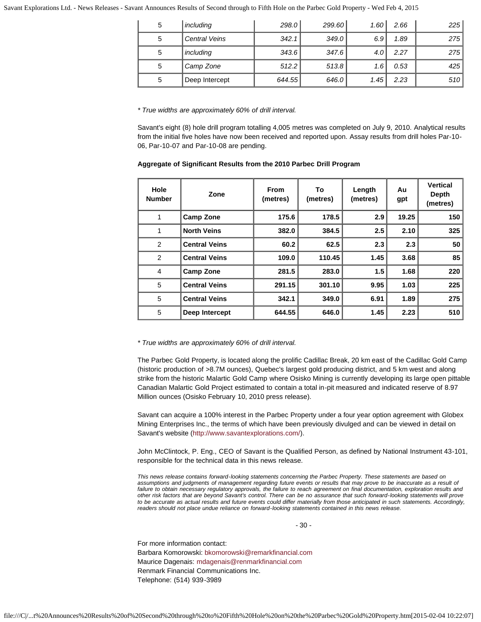Savant Explorations Ltd. - News Releases - Savant Announces Results of Second through to Fifth Hole on the Parbec Gold Property - Wed Feb 4, 2015

| 5 | including            | 298.0  | 299.60 | 1.60 <sub>1</sub> | 2.66 | 225 |
|---|----------------------|--------|--------|-------------------|------|-----|
| 5 | <b>Central Veins</b> | 342.1  | 349.0  | 6.9               | 1.89 | 275 |
| 5 | including            | 343.6  | 347.6  | 4.0 <sub>1</sub>  | 2.27 | 275 |
| 5 | Camp Zone            | 512.2  | 513.8  | 1.6               | 0.53 | 425 |
| 5 | Deep Intercept       | 644.55 | 646.0  | 1.45              | 2.23 | 510 |

*\* True widths are approximately 60% of drill interval.*

Savant's eight (8) hole drill program totalling 4,005 metres was completed on July 9, 2010. Analytical results from the initial five holes have now been received and reported upon. Assay results from drill holes Par-10- 06, Par-10-07 and Par-10-08 are pending.

| Aggregate of Significant Results from the 2010 Parbec Drill Program |  |  |
|---------------------------------------------------------------------|--|--|
|---------------------------------------------------------------------|--|--|

| Hole<br><b>Number</b> | Zone                 | <b>From</b><br>(metres) | To<br>(metres) | Length<br>(metres) | Au<br>gpt | <b>Vertical</b><br>Depth<br>(metres) |
|-----------------------|----------------------|-------------------------|----------------|--------------------|-----------|--------------------------------------|
| 1                     | <b>Camp Zone</b>     | 175.6                   | 178.5          | 2.9                | 19.25     | 150                                  |
| 1                     | <b>North Veins</b>   | 382.0                   | 384.5          | 2.5                | 2.10      | 325                                  |
| 2                     | <b>Central Veins</b> | 60.2                    | 62.5           | 2.3                | 2.3       | 50                                   |
| 2                     | <b>Central Veins</b> | 109.0                   | 110.45         | 1.45               | 3.68      | 85                                   |
| 4                     | <b>Camp Zone</b>     | 281.5                   | 283.0          | 1.5                | 1.68      | 220                                  |
| 5                     | <b>Central Veins</b> | 291.15                  | 301.10         | 9.95               | 1.03      | 225                                  |
| 5                     | <b>Central Veins</b> | 342.1                   | 349.0          | 6.91               | 1.89      | 275                                  |
| 5                     | Deep Intercept       | 644.55                  | 646.0          | 1.45               | 2.23      | 510                                  |

*\* True widths are approximately 60% of drill interval.*

The Parbec Gold Property, is located along the prolific Cadillac Break, 20 km east of the Cadillac Gold Camp (historic production of >8.7M ounces), Quebec's largest gold producing district, and 5 km west and along strike from the historic Malartic Gold Camp where Osisko Mining is currently developing its large open pittable Canadian Malartic Gold Project estimated to contain a total in-pit measured and indicated reserve of 8.97 Million ounces (Osisko February 10, 2010 press release).

Savant can acquire a 100% interest in the Parbec Property under a four year option agreement with Globex Mining Enterprises Inc., the terms of which have been previously divulged and can be viewed in detail on Savant's website [\(http://www.savantexplorations.com/](http://www.savantexplorations.com/)).

John McClintock, P. Eng., CEO of Savant is the Qualified Person, as defined by National Instrument 43-101, responsible for the technical data in this news release.

*This news release contains forward-looking statements concerning the Parbec Property. These statements are based on assumptions and judgments of management regarding future events or results that may prove to be inaccurate as a result of failure to obtain necessary regulatory approvals, the failure to reach agreement on final documentation, exploration results and other risk factors that are beyond Savant's control. There can be no assurance that such forward-looking statements will prove to be accurate as actual results and future events could differ materially from those anticipated in such statements. Accordingly, readers should not place undue reliance on forward-looking statements contained in this news release.*

- 30 -

For more information contact: Barbara Komorowski: [bkomorowski@remarkfinancial.com](mailto:bkomorowski@remarkfinancial.com) Maurice Dagenais: [mdagenais@renmarkfinancial.com](mailto:mdagenais@renmarkfinancial.com) Renmark Financial Communications Inc. Telephone: (514) 939-3989